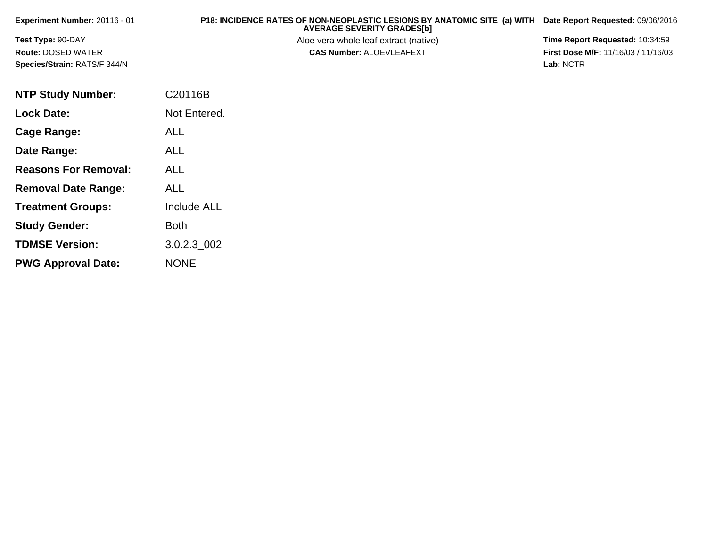| Experiment Number: $20116 - 01$     | P18: INCIDENCE RATES OF NON-NEOPLASTIC LESIONS BY ANATOMIC SITE (a) WITH<br><b>AVERAGE SEVERITY GRADES[b]</b> | Date Report Requested: 09/06/2016          |
|-------------------------------------|---------------------------------------------------------------------------------------------------------------|--------------------------------------------|
| <b>Test Type: 90-DAY</b>            | Aloe vera whole leaf extract (native)                                                                         | <b>Time Report Requested: 10:34:59</b>     |
| <b>Route: DOSED WATER</b>           | <b>CAS Number: ALOEVLEAFEXT</b>                                                                               | <b>First Dose M/F: 11/16/03 / 11/16/03</b> |
| <b>Species/Strain: RATS/F 344/N</b> |                                                                                                               | Lab: NCTR                                  |

| <b>NTP Study Number:</b>    | C20116B            |
|-----------------------------|--------------------|
| <b>Lock Date:</b>           | Not Entered.       |
| Cage Range:                 | ALL                |
| Date Range:                 | ALL                |
| <b>Reasons For Removal:</b> | ALL                |
| <b>Removal Date Range:</b>  | ALL                |
| <b>Treatment Groups:</b>    | <b>Include ALL</b> |
| <b>Study Gender:</b>        | <b>Both</b>        |
| <b>TDMSE Version:</b>       | 3.0.2.3 002        |
| <b>PWG Approval Date:</b>   | <b>NONE</b>        |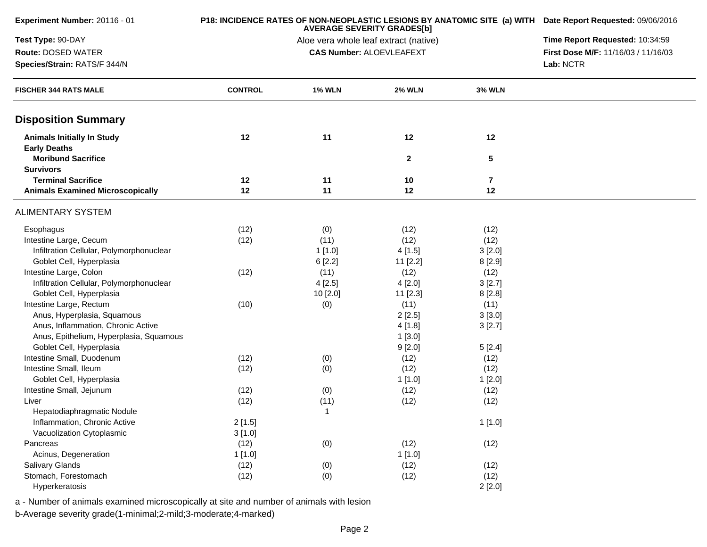| Experiment Number: 20116 - 01                            |                | P18: INCIDENCE RATES OF NON-NEOPLASTIC LESIONS BY ANATOMIC SITE (a) WITH Date Report Requested: 09/06/2016 |                                                                          |                |                                     |
|----------------------------------------------------------|----------------|------------------------------------------------------------------------------------------------------------|--------------------------------------------------------------------------|----------------|-------------------------------------|
| Test Type: 90-DAY                                        |                | Time Report Requested: 10:34:59                                                                            |                                                                          |                |                                     |
| Route: DOSED WATER                                       |                |                                                                                                            | Aloe vera whole leaf extract (native)<br><b>CAS Number: ALOEVLEAFEXT</b> |                | First Dose M/F: 11/16/03 / 11/16/03 |
| Species/Strain: RATS/F 344/N                             |                | Lab: NCTR                                                                                                  |                                                                          |                |                                     |
| <b>FISCHER 344 RATS MALE</b>                             | <b>CONTROL</b> | <b>1% WLN</b>                                                                                              | <b>2% WLN</b>                                                            | <b>3% WLN</b>  |                                     |
| <b>Disposition Summary</b>                               |                |                                                                                                            |                                                                          |                |                                     |
| <b>Animals Initially In Study</b><br><b>Early Deaths</b> | 12             | 11                                                                                                         | 12                                                                       | 12             |                                     |
| <b>Moribund Sacrifice</b><br><b>Survivors</b>            |                |                                                                                                            | $\mathbf{2}$                                                             | ${\bf 5}$      |                                     |
| <b>Terminal Sacrifice</b>                                | 12             | 11                                                                                                         | 10                                                                       | $\overline{7}$ |                                     |
| <b>Animals Examined Microscopically</b>                  | 12             | 11                                                                                                         | 12                                                                       | 12             |                                     |
| <b>ALIMENTARY SYSTEM</b>                                 |                |                                                                                                            |                                                                          |                |                                     |
| Esophagus                                                | (12)           | (0)                                                                                                        | (12)                                                                     | (12)           |                                     |
| Intestine Large, Cecum                                   | (12)           | (11)                                                                                                       | (12)                                                                     | (12)           |                                     |
| Infiltration Cellular, Polymorphonuclear                 |                | 1[1.0]                                                                                                     | 4[1.5]                                                                   | 3[2.0]         |                                     |
| Goblet Cell, Hyperplasia                                 |                | 6[2.2]                                                                                                     | 11 [2.2]                                                                 | 8[2.9]         |                                     |
| Intestine Large, Colon                                   | (12)           | (11)                                                                                                       | (12)                                                                     | (12)           |                                     |
| Infiltration Cellular, Polymorphonuclear                 |                | 4[2.5]                                                                                                     | 4[2.0]                                                                   | 3[2.7]         |                                     |
| Goblet Cell, Hyperplasia                                 |                | 10 [2.0]                                                                                                   | 11 [2.3]                                                                 | 8[2.8]         |                                     |
| Intestine Large, Rectum                                  | (10)           | (0)                                                                                                        | (11)                                                                     | (11)           |                                     |
| Anus, Hyperplasia, Squamous                              |                |                                                                                                            | 2[2.5]                                                                   | 3[3.0]         |                                     |
| Anus, Inflammation, Chronic Active                       |                |                                                                                                            | 4[1.8]                                                                   | 3[2.7]         |                                     |
| Anus, Epithelium, Hyperplasia, Squamous                  |                |                                                                                                            | 1[3.0]                                                                   |                |                                     |
| Goblet Cell, Hyperplasia                                 |                |                                                                                                            | 9[2.0]                                                                   | 5[2.4]         |                                     |
| Intestine Small, Duodenum                                | (12)           | (0)                                                                                                        | (12)                                                                     | (12)           |                                     |
| Intestine Small, Ileum                                   | (12)           | (0)                                                                                                        | (12)                                                                     | (12)           |                                     |
| Goblet Cell, Hyperplasia                                 |                |                                                                                                            | 1[1.0]                                                                   | 1[2.0]         |                                     |
| Intestine Small, Jejunum                                 | (12)           | (0)                                                                                                        | (12)                                                                     | (12)           |                                     |
| Liver                                                    | (12)           | (11)                                                                                                       | (12)                                                                     | (12)           |                                     |
| Hepatodiaphragmatic Nodule                               |                | $\mathbf{1}$                                                                                               |                                                                          |                |                                     |
| Inflammation, Chronic Active                             | 2[1.5]         |                                                                                                            |                                                                          | 1[1.0]         |                                     |
| Vacuolization Cytoplasmic                                | 3[1.0]         |                                                                                                            |                                                                          |                |                                     |
| Pancreas                                                 | (12)           | (0)                                                                                                        | (12)                                                                     | (12)           |                                     |
| Acinus, Degeneration                                     | 1[1.0]         |                                                                                                            | 1[1.0]                                                                   |                |                                     |
| Salivary Glands                                          | (12)           | (0)                                                                                                        | (12)                                                                     | (12)           |                                     |
| Stomach, Forestomach                                     | (12)           | (0)                                                                                                        | (12)                                                                     | (12)           |                                     |
| Hyperkeratosis                                           |                |                                                                                                            |                                                                          | 2[2.0]         |                                     |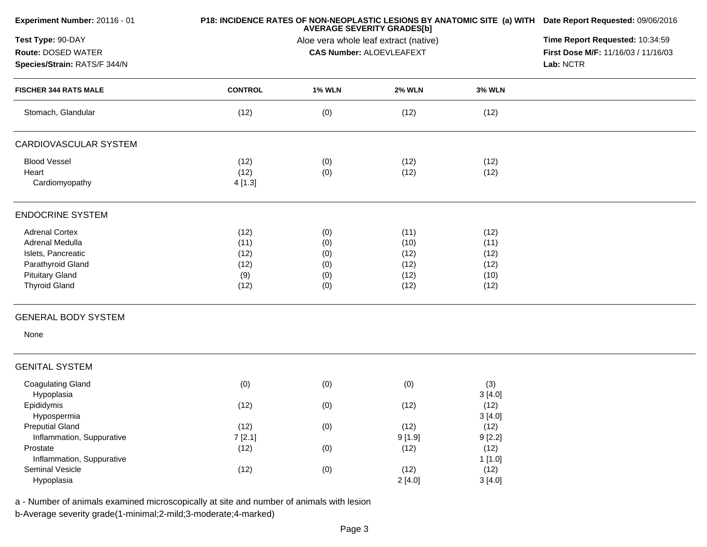| Experiment Number: 20116 - 01 |                | P18: INCIDENCE RATES OF NON-NEOPLASTIC LESIONS BY ANATOMIC SITE (a) WITH Date Report Requested: 09/06/2016<br><b>AVERAGE SEVERITY GRADES[b]</b><br>Aloe vera whole leaf extract (native) |                                 |               |                                     |  |  |
|-------------------------------|----------------|------------------------------------------------------------------------------------------------------------------------------------------------------------------------------------------|---------------------------------|---------------|-------------------------------------|--|--|
| Test Type: 90-DAY             |                |                                                                                                                                                                                          |                                 |               |                                     |  |  |
| Route: DOSED WATER            |                |                                                                                                                                                                                          | <b>CAS Number: ALOEVLEAFEXT</b> |               | First Dose M/F: 11/16/03 / 11/16/03 |  |  |
| Species/Strain: RATS/F 344/N  |                |                                                                                                                                                                                          |                                 |               | Lab: NCTR                           |  |  |
| <b>FISCHER 344 RATS MALE</b>  | <b>CONTROL</b> | <b>1% WLN</b>                                                                                                                                                                            | <b>2% WLN</b>                   | <b>3% WLN</b> |                                     |  |  |
| Stomach, Glandular            | (12)           | (0)                                                                                                                                                                                      | (12)                            | (12)          |                                     |  |  |
| CARDIOVASCULAR SYSTEM         |                |                                                                                                                                                                                          |                                 |               |                                     |  |  |
| <b>Blood Vessel</b>           | (12)           | (0)                                                                                                                                                                                      | (12)                            | (12)          |                                     |  |  |
| Heart                         | (12)           | (0)                                                                                                                                                                                      | (12)                            | (12)          |                                     |  |  |
| Cardiomyopathy                | 4[1.3]         |                                                                                                                                                                                          |                                 |               |                                     |  |  |
| <b>ENDOCRINE SYSTEM</b>       |                |                                                                                                                                                                                          |                                 |               |                                     |  |  |
| <b>Adrenal Cortex</b>         | (12)           | (0)                                                                                                                                                                                      | (11)                            | (12)          |                                     |  |  |
| Adrenal Medulla               | (11)           | (0)                                                                                                                                                                                      | (10)                            | (11)          |                                     |  |  |
| Islets, Pancreatic            | (12)           | (0)                                                                                                                                                                                      | (12)                            | (12)          |                                     |  |  |
| Parathyroid Gland             | (12)           | (0)                                                                                                                                                                                      | (12)                            | (12)          |                                     |  |  |
| <b>Pituitary Gland</b>        | (9)            | (0)                                                                                                                                                                                      | (12)                            | (10)          |                                     |  |  |
| <b>Thyroid Gland</b>          | (12)           | (0)                                                                                                                                                                                      | (12)                            | (12)          |                                     |  |  |
| <b>GENERAL BODY SYSTEM</b>    |                |                                                                                                                                                                                          |                                 |               |                                     |  |  |
| None                          |                |                                                                                                                                                                                          |                                 |               |                                     |  |  |
| <b>GENITAL SYSTEM</b>         |                |                                                                                                                                                                                          |                                 |               |                                     |  |  |
| <b>Coagulating Gland</b>      | (0)            | (0)                                                                                                                                                                                      | (0)                             | (3)           |                                     |  |  |
| Hypoplasia                    |                |                                                                                                                                                                                          |                                 | 3[4.0]        |                                     |  |  |
| Epididymis                    | (12)           | (0)                                                                                                                                                                                      | (12)                            | (12)          |                                     |  |  |
| Hypospermia                   |                |                                                                                                                                                                                          |                                 | 3[4.0]        |                                     |  |  |
| <b>Preputial Gland</b>        | (12)           | (0)                                                                                                                                                                                      | (12)                            | (12)          |                                     |  |  |
| Inflammation, Suppurative     | 7[2.1]         |                                                                                                                                                                                          | 9[1.9]                          | 9[2.2]        |                                     |  |  |
| Prostate                      | (12)           | (0)                                                                                                                                                                                      | (12)                            | (12)          |                                     |  |  |
| Inflammation, Suppurative     |                |                                                                                                                                                                                          |                                 | 1[1.0]        |                                     |  |  |
| Seminal Vesicle               | (12)           | (0)                                                                                                                                                                                      | (12)                            | (12)          |                                     |  |  |
| Hypoplasia                    |                |                                                                                                                                                                                          | 2[4.0]                          | 3[4.0]        |                                     |  |  |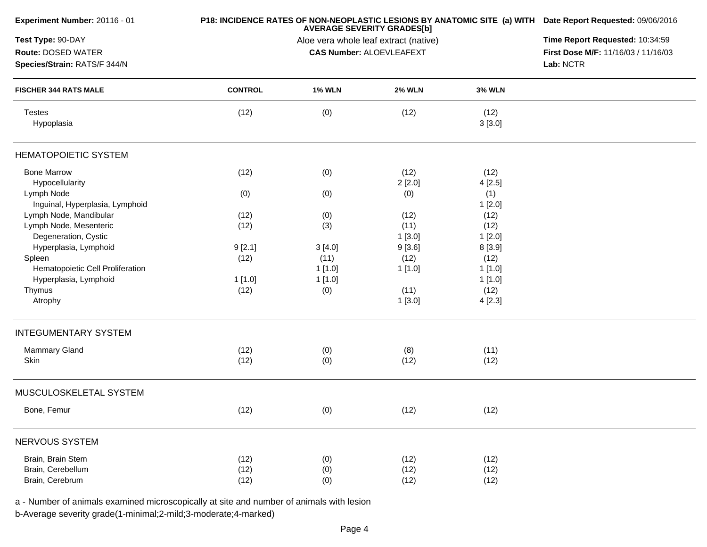| Experiment Number: 20116 - 01    |                | P18: INCIDENCE RATES OF NON-NEOPLASTIC LESIONS BY ANATOMIC SITE (a) WITH Date Report Requested: 09/06/2016<br><b>AVERAGE SEVERITY GRADES[b]</b><br>Aloe vera whole leaf extract (native)<br><b>CAS Number: ALOEVLEAFEXT</b> |               |                |           |  |  |
|----------------------------------|----------------|-----------------------------------------------------------------------------------------------------------------------------------------------------------------------------------------------------------------------------|---------------|----------------|-----------|--|--|
| Test Type: 90-DAY                |                |                                                                                                                                                                                                                             |               |                |           |  |  |
| Route: DOSED WATER               |                |                                                                                                                                                                                                                             |               |                |           |  |  |
| Species/Strain: RATS/F 344/N     |                |                                                                                                                                                                                                                             |               |                | Lab: NCTR |  |  |
| <b>FISCHER 344 RATS MALE</b>     | <b>CONTROL</b> | <b>1% WLN</b>                                                                                                                                                                                                               | <b>2% WLN</b> | <b>3% WLN</b>  |           |  |  |
| <b>Testes</b><br>Hypoplasia      | (12)           | (0)                                                                                                                                                                                                                         | (12)          | (12)<br>3[3.0] |           |  |  |
| <b>HEMATOPOIETIC SYSTEM</b>      |                |                                                                                                                                                                                                                             |               |                |           |  |  |
| <b>Bone Marrow</b>               | (12)           | (0)                                                                                                                                                                                                                         | (12)          | (12)           |           |  |  |
| Hypocellularity                  |                |                                                                                                                                                                                                                             | 2[2.0]        | 4 [2.5]        |           |  |  |
| Lymph Node                       | (0)            | (0)                                                                                                                                                                                                                         | (0)           | (1)            |           |  |  |
| Inguinal, Hyperplasia, Lymphoid  |                |                                                                                                                                                                                                                             |               | 1[2.0]         |           |  |  |
| Lymph Node, Mandibular           | (12)           | (0)                                                                                                                                                                                                                         | (12)          | (12)           |           |  |  |
| Lymph Node, Mesenteric           | (12)           | (3)                                                                                                                                                                                                                         | (11)          | (12)           |           |  |  |
| Degeneration, Cystic             |                |                                                                                                                                                                                                                             | 1[3.0]        | 1[2.0]         |           |  |  |
| Hyperplasia, Lymphoid            | 9[2.1]         | 3[4.0]                                                                                                                                                                                                                      | 9[3.6]        | 8 [3.9]        |           |  |  |
| Spleen                           | (12)           | (11)                                                                                                                                                                                                                        | (12)          | (12)           |           |  |  |
| Hematopoietic Cell Proliferation |                | 1[1.0]                                                                                                                                                                                                                      | 1[1.0]        | 1[1.0]         |           |  |  |
| Hyperplasia, Lymphoid            | 1[1.0]         | 1 [1.0]                                                                                                                                                                                                                     |               | 1[1.0]         |           |  |  |
| Thymus                           | (12)           | (0)                                                                                                                                                                                                                         | (11)          | (12)           |           |  |  |
| Atrophy                          |                |                                                                                                                                                                                                                             | 1[3.0]        | 4[2.3]         |           |  |  |
| <b>INTEGUMENTARY SYSTEM</b>      |                |                                                                                                                                                                                                                             |               |                |           |  |  |
| <b>Mammary Gland</b>             | (12)           | (0)                                                                                                                                                                                                                         | (8)           | (11)           |           |  |  |
| Skin                             | (12)           | (0)                                                                                                                                                                                                                         | (12)          | (12)           |           |  |  |
| MUSCULOSKELETAL SYSTEM           |                |                                                                                                                                                                                                                             |               |                |           |  |  |
| Bone, Femur                      | (12)           | (0)                                                                                                                                                                                                                         | (12)          | (12)           |           |  |  |
| NERVOUS SYSTEM                   |                |                                                                                                                                                                                                                             |               |                |           |  |  |
| Brain, Brain Stem                | (12)           | (0)                                                                                                                                                                                                                         | (12)          | (12)           |           |  |  |
| Brain, Cerebellum                | (12)           | (0)                                                                                                                                                                                                                         | (12)          | (12)           |           |  |  |
| Brain, Cerebrum                  | (12)           | (0)                                                                                                                                                                                                                         | (12)          | (12)           |           |  |  |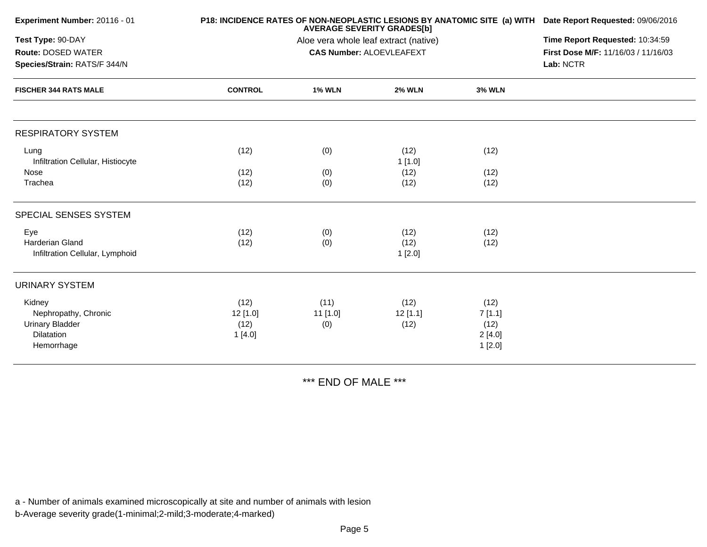| Experiment Number: 20116 - 01<br>Test Type: 90-DAY<br>Route: DOSED WATER<br>Species/Strain: RATS/F 344/N<br><b>FISCHER 344 RATS MALE</b> |                                      | P18: INCIDENCE RATES OF NON-NEOPLASTIC LESIONS BY ANATOMIC SITE (a) WITH Date Report Requested: 09/06/2016<br><b>AVERAGE SEVERITY GRADES[b]</b> |                            |                                            |  |  |  |
|------------------------------------------------------------------------------------------------------------------------------------------|--------------------------------------|-------------------------------------------------------------------------------------------------------------------------------------------------|----------------------------|--------------------------------------------|--|--|--|
|                                                                                                                                          |                                      | Time Report Requested: 10:34:59<br>First Dose M/F: 11/16/03 / 11/16/03<br>Lab: NCTR                                                             |                            |                                            |  |  |  |
|                                                                                                                                          | <b>CONTROL</b>                       | <b>1% WLN</b>                                                                                                                                   | <b>2% WLN</b>              | <b>3% WLN</b>                              |  |  |  |
| <b>RESPIRATORY SYSTEM</b>                                                                                                                |                                      |                                                                                                                                                 |                            |                                            |  |  |  |
| Lung<br>Infiltration Cellular, Histiocyte<br>Nose                                                                                        | (12)<br>(12)                         | (0)<br>(0)                                                                                                                                      | (12)<br>1[1.0]<br>(12)     | (12)<br>(12)                               |  |  |  |
| Trachea                                                                                                                                  | (12)                                 | (0)                                                                                                                                             | (12)                       | (12)                                       |  |  |  |
| SPECIAL SENSES SYSTEM                                                                                                                    |                                      |                                                                                                                                                 |                            |                                            |  |  |  |
| Eye<br>Harderian Gland<br>Infiltration Cellular, Lymphoid                                                                                | (12)<br>(12)                         | (0)<br>(0)                                                                                                                                      | (12)<br>(12)<br>1[2.0]     | (12)<br>(12)                               |  |  |  |
| <b>URINARY SYSTEM</b>                                                                                                                    |                                      |                                                                                                                                                 |                            |                                            |  |  |  |
| Kidney<br>Nephropathy, Chronic<br><b>Urinary Bladder</b><br>Dilatation<br>Hemorrhage                                                     | (12)<br>$12$ [1.0]<br>(12)<br>1[4.0] | (11)<br>$11$ [1.0]<br>(0)                                                                                                                       | (12)<br>$12$ [1.1]<br>(12) | (12)<br>7[1.1]<br>(12)<br>2[4.0]<br>1[2.0] |  |  |  |

\*\*\* END OF MALE \*\*\*

a - Number of animals examined microscopically at site and number of animals with lesion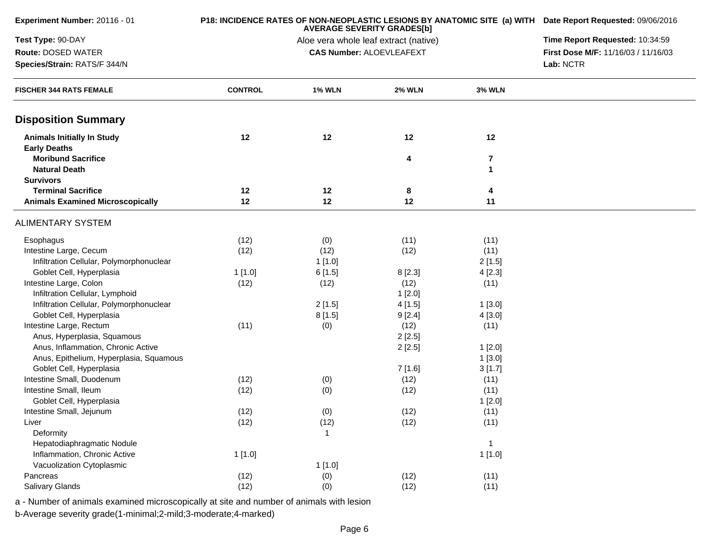| Experiment Number: 20116 - 01                              |                | P18: INCIDENCE RATES OF NON-NEOPLASTIC LESIONS BY ANATOMIC SITE (a) WITH Date Report Requested: 09/06/2016<br>Time Report Requested: 10:34:59 |                                 |                              |                                     |
|------------------------------------------------------------|----------------|-----------------------------------------------------------------------------------------------------------------------------------------------|---------------------------------|------------------------------|-------------------------------------|
| Test Type: 90-DAY                                          |                |                                                                                                                                               |                                 |                              |                                     |
| Route: DOSED WATER                                         |                |                                                                                                                                               | <b>CAS Number: ALOEVLEAFEXT</b> |                              | First Dose M/F: 11/16/03 / 11/16/03 |
| Species/Strain: RATS/F 344/N                               |                | Lab: NCTR                                                                                                                                     |                                 |                              |                                     |
| <b>FISCHER 344 RATS FEMALE</b>                             | <b>CONTROL</b> | <b>1% WLN</b>                                                                                                                                 | <b>2% WLN</b>                   | <b>3% WLN</b>                |                                     |
| <b>Disposition Summary</b>                                 |                |                                                                                                                                               |                                 |                              |                                     |
| <b>Animals Initially In Study</b><br><b>Early Deaths</b>   | 12             | 12                                                                                                                                            | 12                              | 12                           |                                     |
| <b>Moribund Sacrifice</b><br><b>Natural Death</b>          |                |                                                                                                                                               | 4                               | $\overline{\mathbf{7}}$<br>1 |                                     |
| <b>Survivors</b>                                           |                |                                                                                                                                               |                                 |                              |                                     |
| <b>Terminal Sacrifice</b>                                  | 12             | 12                                                                                                                                            | 8                               | 4                            |                                     |
| <b>Animals Examined Microscopically</b>                    | 12             | 12                                                                                                                                            | 12                              | 11                           |                                     |
| <b>ALIMENTARY SYSTEM</b>                                   |                |                                                                                                                                               |                                 |                              |                                     |
| Esophagus                                                  | (12)           | (0)                                                                                                                                           | (11)                            | (11)                         |                                     |
| Intestine Large, Cecum                                     | (12)           | (12)                                                                                                                                          | (12)                            | (11)                         |                                     |
| Infiltration Cellular, Polymorphonuclear                   |                | 1[1.0]                                                                                                                                        |                                 | 2[1.5]                       |                                     |
| Goblet Cell, Hyperplasia                                   | 1[1.0]         | 6[1.5]                                                                                                                                        | 8[2.3]                          | 4[2.3]                       |                                     |
| Intestine Large, Colon                                     | (12)           | (12)                                                                                                                                          | (12)                            | (11)                         |                                     |
| Infiltration Cellular, Lymphoid                            |                |                                                                                                                                               | 1[2.0]                          |                              |                                     |
| Infiltration Cellular, Polymorphonuclear                   |                | 2[1.5]                                                                                                                                        | 4[1.5]                          | 1[3.0]                       |                                     |
| Goblet Cell, Hyperplasia                                   |                | 8[1.5]                                                                                                                                        | 9[2.4]                          | 4[3.0]                       |                                     |
| Intestine Large, Rectum                                    | (11)           | (0)                                                                                                                                           | (12)                            | (11)                         |                                     |
| Anus, Hyperplasia, Squamous                                |                |                                                                                                                                               | 2[2.5]                          |                              |                                     |
| Anus, Inflammation, Chronic Active                         |                |                                                                                                                                               | 2[2.5]                          | 1[2.0]                       |                                     |
| Anus, Epithelium, Hyperplasia, Squamous                    |                |                                                                                                                                               |                                 | 1[3.0]                       |                                     |
| Goblet Cell, Hyperplasia                                   |                |                                                                                                                                               | 7 [1.6]                         | 3[1.7]                       |                                     |
| Intestine Small, Duodenum                                  | (12)           | (0)                                                                                                                                           | (12)                            | (11)                         |                                     |
| Intestine Small, Ileum                                     | (12)           | (0)                                                                                                                                           | (12)                            | (11)                         |                                     |
| Goblet Cell, Hyperplasia                                   |                |                                                                                                                                               |                                 | 1[2.0]                       |                                     |
| Intestine Small, Jejunum                                   | (12)           | (0)                                                                                                                                           | (12)                            | (11)                         |                                     |
| Liver                                                      | (12)           | (12)                                                                                                                                          | (12)                            | (11)                         |                                     |
| Deformity                                                  |                | $\mathbf{1}$                                                                                                                                  |                                 |                              |                                     |
| Hepatodiaphragmatic Nodule<br>Inflammation, Chronic Active |                |                                                                                                                                               |                                 | $\mathbf{1}$                 |                                     |
|                                                            | 1[1.0]         |                                                                                                                                               |                                 | 1[1.0]                       |                                     |
| Vacuolization Cytoplasmic<br>Pancreas                      | (12)           | 1[1.0]                                                                                                                                        |                                 |                              |                                     |
| Salivary Glands                                            | (12)           | (0)<br>(0)                                                                                                                                    | (12)<br>(12)                    | (11)<br>(11)                 |                                     |
|                                                            |                |                                                                                                                                               |                                 |                              |                                     |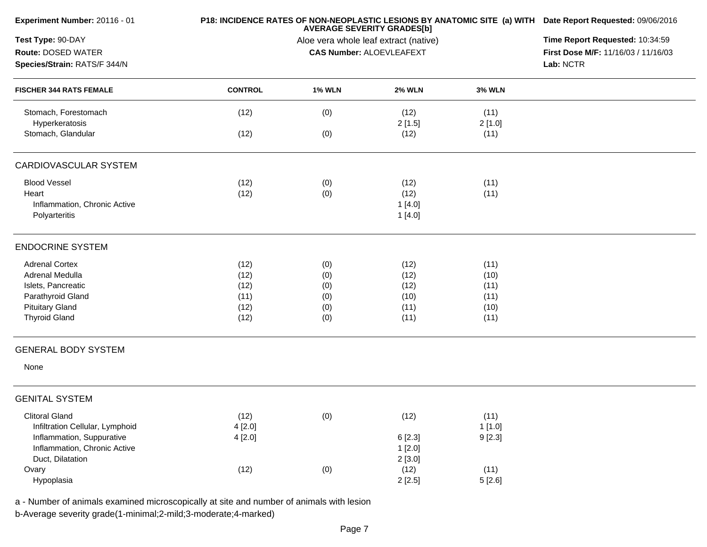| Experiment Number: 20116 - 01                                                            |                | P18: INCIDENCE RATES OF NON-NEOPLASTIC LESIONS BY ANATOMIC SITE (a) WITH Date Report Requested: 09/06/2016<br><b>AVERAGE SEVERITY GRADES[b]</b> |                                 |                |                                     |  |  |
|------------------------------------------------------------------------------------------|----------------|-------------------------------------------------------------------------------------------------------------------------------------------------|---------------------------------|----------------|-------------------------------------|--|--|
| Test Type: 90-DAY                                                                        |                | Time Report Requested: 10:34:59                                                                                                                 |                                 |                |                                     |  |  |
| Route: DOSED WATER                                                                       |                |                                                                                                                                                 | <b>CAS Number: ALOEVLEAFEXT</b> |                | First Dose M/F: 11/16/03 / 11/16/03 |  |  |
| Species/Strain: RATS/F 344/N                                                             |                |                                                                                                                                                 |                                 |                | Lab: NCTR                           |  |  |
| <b>FISCHER 344 RATS FEMALE</b>                                                           | <b>CONTROL</b> | <b>1% WLN</b>                                                                                                                                   | <b>2% WLN</b>                   | <b>3% WLN</b>  |                                     |  |  |
| Stomach, Forestomach<br>Hyperkeratosis                                                   | (12)           | (0)                                                                                                                                             | (12)<br>2[1.5]                  | (11)<br>2[1.0] |                                     |  |  |
| Stomach, Glandular                                                                       | (12)           | (0)                                                                                                                                             | (12)                            | (11)           |                                     |  |  |
| CARDIOVASCULAR SYSTEM                                                                    |                |                                                                                                                                                 |                                 |                |                                     |  |  |
| <b>Blood Vessel</b>                                                                      | (12)           | (0)                                                                                                                                             | (12)                            | (11)           |                                     |  |  |
| Heart                                                                                    | (12)           | (0)                                                                                                                                             | (12)                            | (11)           |                                     |  |  |
| Inflammation, Chronic Active                                                             |                |                                                                                                                                                 | 1[4.0]                          |                |                                     |  |  |
| Polyarteritis                                                                            |                |                                                                                                                                                 | 1[4.0]                          |                |                                     |  |  |
| <b>ENDOCRINE SYSTEM</b>                                                                  |                |                                                                                                                                                 |                                 |                |                                     |  |  |
| <b>Adrenal Cortex</b>                                                                    | (12)           | (0)                                                                                                                                             | (12)                            | (11)           |                                     |  |  |
| Adrenal Medulla                                                                          | (12)           | (0)                                                                                                                                             | (12)                            | (10)           |                                     |  |  |
| Islets, Pancreatic                                                                       | (12)           | (0)                                                                                                                                             | (12)                            | (11)           |                                     |  |  |
| Parathyroid Gland                                                                        | (11)           | (0)                                                                                                                                             | (10)                            | (11)           |                                     |  |  |
| <b>Pituitary Gland</b>                                                                   | (12)           | (0)                                                                                                                                             | (11)                            | (10)           |                                     |  |  |
| <b>Thyroid Gland</b>                                                                     | (12)           | (0)                                                                                                                                             | (11)                            | (11)           |                                     |  |  |
| <b>GENERAL BODY SYSTEM</b>                                                               |                |                                                                                                                                                 |                                 |                |                                     |  |  |
| None                                                                                     |                |                                                                                                                                                 |                                 |                |                                     |  |  |
| <b>GENITAL SYSTEM</b>                                                                    |                |                                                                                                                                                 |                                 |                |                                     |  |  |
| <b>Clitoral Gland</b>                                                                    | (12)           | (0)                                                                                                                                             | (12)                            | (11)           |                                     |  |  |
| Infiltration Cellular, Lymphoid                                                          | 4[2.0]         |                                                                                                                                                 |                                 | 1[1.0]         |                                     |  |  |
| Inflammation, Suppurative                                                                | 4[2.0]         |                                                                                                                                                 | 6[2.3]                          | 9[2.3]         |                                     |  |  |
| Inflammation, Chronic Active                                                             |                |                                                                                                                                                 | 1[2.0]                          |                |                                     |  |  |
| Duct, Dilatation                                                                         |                |                                                                                                                                                 | 2[3.0]                          |                |                                     |  |  |
| Ovary                                                                                    | (12)           | (0)                                                                                                                                             | (12)                            | (11)           |                                     |  |  |
| Hypoplasia                                                                               |                |                                                                                                                                                 | 2[2.5]                          | 5[2.6]         |                                     |  |  |
| a - Number of animals examined microscopically at site and number of animals with lesion |                |                                                                                                                                                 |                                 |                |                                     |  |  |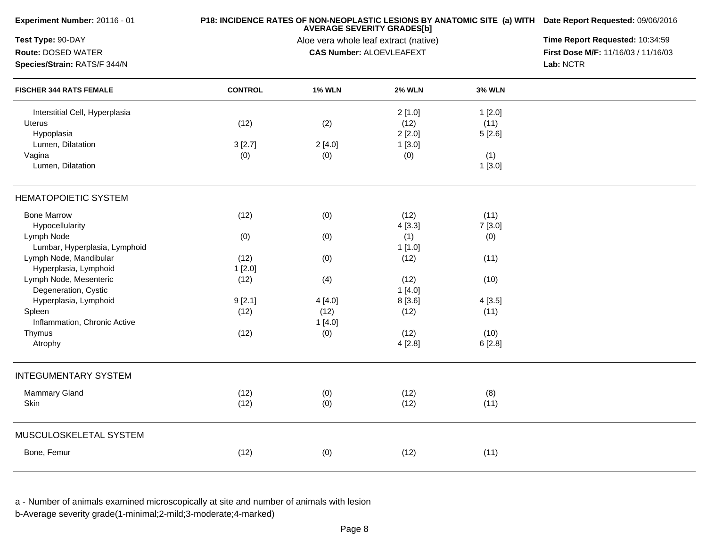| Experiment Number: 20116 - 01  |                | P18: INCIDENCE RATES OF NON-NEOPLASTIC LESIONS BY ANATOMIC SITE (a) WITH Date Report Requested: 09/06/2016 |                                                                          |               |                                     |
|--------------------------------|----------------|------------------------------------------------------------------------------------------------------------|--------------------------------------------------------------------------|---------------|-------------------------------------|
| Test Type: 90-DAY              |                | Time Report Requested: 10:34:59                                                                            |                                                                          |               |                                     |
| Route: DOSED WATER             |                |                                                                                                            | Aloe vera whole leaf extract (native)<br><b>CAS Number: ALOEVLEAFEXT</b> |               | First Dose M/F: 11/16/03 / 11/16/03 |
| Species/Strain: RATS/F 344/N   |                |                                                                                                            |                                                                          |               | Lab: NCTR                           |
| <b>FISCHER 344 RATS FEMALE</b> | <b>CONTROL</b> | <b>1% WLN</b>                                                                                              | <b>2% WLN</b>                                                            | <b>3% WLN</b> |                                     |
| Interstitial Cell, Hyperplasia |                |                                                                                                            | 2[1.0]                                                                   | 1[2.0]        |                                     |
| <b>Uterus</b>                  | (12)           | (2)                                                                                                        | (12)                                                                     | (11)          |                                     |
| Hypoplasia                     |                |                                                                                                            | 2[2.0]                                                                   | 5[2.6]        |                                     |
| Lumen, Dilatation              | 3[2.7]         | 2[4.0]                                                                                                     | 1[3.0]                                                                   |               |                                     |
| Vagina                         | (0)            | (0)                                                                                                        | (0)                                                                      | (1)           |                                     |
| Lumen, Dilatation              |                |                                                                                                            |                                                                          | 1[3.0]        |                                     |
| <b>HEMATOPOIETIC SYSTEM</b>    |                |                                                                                                            |                                                                          |               |                                     |
| <b>Bone Marrow</b>             | (12)           | (0)                                                                                                        | (12)                                                                     | (11)          |                                     |
| Hypocellularity                |                |                                                                                                            | 4[3.3]                                                                   | 7[3.0]        |                                     |
| Lymph Node                     | (0)            | (0)                                                                                                        | (1)                                                                      | (0)           |                                     |
| Lumbar, Hyperplasia, Lymphoid  |                |                                                                                                            | 1[1.0]                                                                   |               |                                     |
| Lymph Node, Mandibular         | (12)           | (0)                                                                                                        | (12)                                                                     | (11)          |                                     |
| Hyperplasia, Lymphoid          | 1[2.0]         |                                                                                                            |                                                                          |               |                                     |
| Lymph Node, Mesenteric         | (12)           | (4)                                                                                                        | (12)                                                                     | (10)          |                                     |
| Degeneration, Cystic           |                |                                                                                                            | 1[4.0]                                                                   |               |                                     |
| Hyperplasia, Lymphoid          | 9[2.1]         | 4[4.0]                                                                                                     | 8[3.6]                                                                   | 4[3.5]        |                                     |
| Spleen                         | (12)           | (12)                                                                                                       | (12)                                                                     | (11)          |                                     |
| Inflammation, Chronic Active   |                | 1[4.0]                                                                                                     |                                                                          |               |                                     |
| Thymus                         | (12)           | (0)                                                                                                        | (12)                                                                     | (10)          |                                     |
| Atrophy                        |                |                                                                                                            | 4[2.8]                                                                   | 6[2.8]        |                                     |
| <b>INTEGUMENTARY SYSTEM</b>    |                |                                                                                                            |                                                                          |               |                                     |
| <b>Mammary Gland</b>           | (12)           | (0)                                                                                                        | (12)                                                                     | (8)           |                                     |
| Skin                           | (12)           | (0)                                                                                                        | (12)                                                                     | (11)          |                                     |
| MUSCULOSKELETAL SYSTEM         |                |                                                                                                            |                                                                          |               |                                     |
| Bone, Femur                    | (12)           | (0)                                                                                                        | (12)                                                                     | (11)          |                                     |